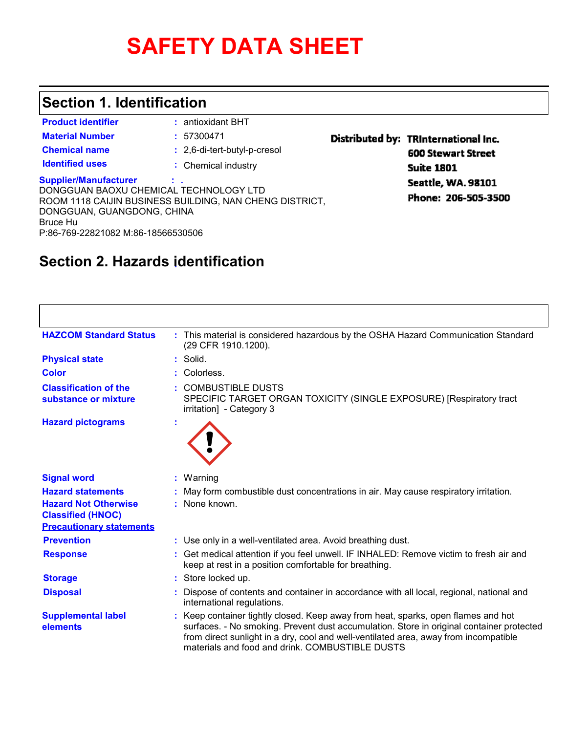# **SAFETY DATA SHEET**

#### **Section 1. Identification**

| <b>Product identifier</b>                                                                                                                              | : antioxidant BHT                                       |                   |
|--------------------------------------------------------------------------------------------------------------------------------------------------------|---------------------------------------------------------|-------------------|
| <b>Material Number</b>                                                                                                                                 | : 57300471                                              | <b>Distribute</b> |
| <b>Chemical name</b>                                                                                                                                   | : 2,6-di-tert-butyl-p-cresol                            |                   |
| <b>Identified uses</b>                                                                                                                                 | : Chemical industry                                     |                   |
| <b>Supplier/Manufacturer</b><br>DONGGUAN BAOXU CHEMICAL TECHNOLOGY LTD<br>DONGGUAN, GUANGDONG, CHINA<br>Bruce Hu<br>P:86-769-22821082 M:86-18566530506 | ROOM 1118 CAIJIN BUSINESS BUILDING, NAN CHENG DISTRICT, |                   |

### ed by: TRInternational Inc. **600 Stewart Street**

**Suite 1801 Seattle, WA. 98101** Phone: 206-505-3500

### **: Section 2. Hazards identification**

| <b>HAZCOM Standard Status</b>                                                              | : This material is considered hazardous by the OSHA Hazard Communication Standard<br>(29 CFR 1910.1200).                                                                                                                                                                                                                 |
|--------------------------------------------------------------------------------------------|--------------------------------------------------------------------------------------------------------------------------------------------------------------------------------------------------------------------------------------------------------------------------------------------------------------------------|
| <b>Physical state</b>                                                                      | Solid.                                                                                                                                                                                                                                                                                                                   |
| <b>Color</b>                                                                               | Colorless.                                                                                                                                                                                                                                                                                                               |
| <b>Classification of the</b><br>substance or mixture                                       | : COMBUSTIBLE DUSTS<br>SPECIFIC TARGET ORGAN TOXICITY (SINGLE EXPOSURE) [Respiratory tract<br>irritation] - Category 3                                                                                                                                                                                                   |
| <b>Hazard pictograms</b>                                                                   |                                                                                                                                                                                                                                                                                                                          |
| <b>Signal word</b>                                                                         | Warning                                                                                                                                                                                                                                                                                                                  |
| <b>Hazard statements</b>                                                                   | May form combustible dust concentrations in air. May cause respiratory irritation.                                                                                                                                                                                                                                       |
| <b>Hazard Not Otherwise</b><br><b>Classified (HNOC)</b><br><b>Precautionary statements</b> | None known.                                                                                                                                                                                                                                                                                                              |
| <b>Prevention</b>                                                                          | : Use only in a well-ventilated area. Avoid breathing dust.                                                                                                                                                                                                                                                              |
| <b>Response</b>                                                                            | : Get medical attention if you feel unwell. IF INHALED: Remove victim to fresh air and<br>keep at rest in a position comfortable for breathing.                                                                                                                                                                          |
| <b>Storage</b>                                                                             | Store locked up.                                                                                                                                                                                                                                                                                                         |
| <b>Disposal</b>                                                                            | Dispose of contents and container in accordance with all local, regional, national and<br>international regulations.                                                                                                                                                                                                     |
| <b>Supplemental label</b><br>elements                                                      | : Keep container tightly closed. Keep away from heat, sparks, open flames and hot<br>surfaces. - No smoking. Prevent dust accumulation. Store in original container protected<br>from direct sunlight in a dry, cool and well-ventilated area, away from incompatible<br>materials and food and drink. COMBUSTIBLE DUSTS |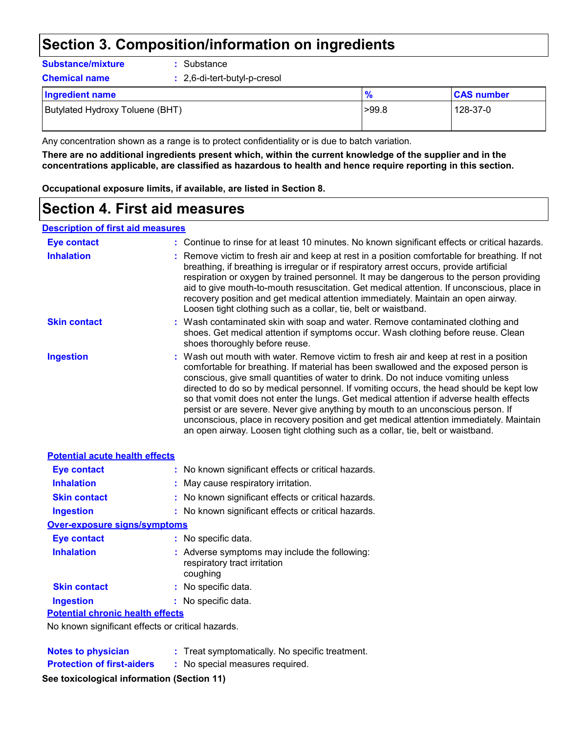### **Section 3. Composition/information on ingredients**

| <b>Substance/mixture</b><br>: Substance |  |
|-----------------------------------------|--|
|-----------------------------------------|--|

| <b>Chemical name</b>            | : 2,6-di-tert-butyl-p-cresol |               |                   |
|---------------------------------|------------------------------|---------------|-------------------|
| Ingredient name                 |                              | $\frac{9}{6}$ | <b>CAS number</b> |
| Butylated Hydroxy Toluene (BHT) |                              | >99.8         | 128-37-0          |

Any concentration shown as a range is to protect confidentiality or is due to batch variation.

**There are no additional ingredients present which, within the current knowledge of the supplier and in the concentrations applicable, are classified as hazardous to health and hence require reporting in this section.**

**Occupational exposure limits, if available, are listed in Section 8.**

### **Section 4. First aid measures**

#### **Description of first aid measures**

| <b>Eye contact</b>  | : Continue to rinse for at least 10 minutes. No known significant effects or critical hazards.                                                                                                                                                                                                                                                                                                                                                                                                                                                                                                                                                                                                                             |
|---------------------|----------------------------------------------------------------------------------------------------------------------------------------------------------------------------------------------------------------------------------------------------------------------------------------------------------------------------------------------------------------------------------------------------------------------------------------------------------------------------------------------------------------------------------------------------------------------------------------------------------------------------------------------------------------------------------------------------------------------------|
| <b>Inhalation</b>   | : Remove victim to fresh air and keep at rest in a position comfortable for breathing. If not<br>breathing, if breathing is irregular or if respiratory arrest occurs, provide artificial<br>respiration or oxygen by trained personnel. It may be dangerous to the person providing<br>aid to give mouth-to-mouth resuscitation. Get medical attention. If unconscious, place in<br>recovery position and get medical attention immediately. Maintain an open airway.<br>Loosen tight clothing such as a collar, tie, belt or waistband.                                                                                                                                                                                  |
| <b>Skin contact</b> | : Wash contaminated skin with soap and water. Remove contaminated clothing and<br>shoes. Get medical attention if symptoms occur. Wash clothing before reuse. Clean<br>shoes thoroughly before reuse.                                                                                                                                                                                                                                                                                                                                                                                                                                                                                                                      |
| <b>Ingestion</b>    | : Wash out mouth with water. Remove victim to fresh air and keep at rest in a position<br>comfortable for breathing. If material has been swallowed and the exposed person is<br>conscious, give small quantities of water to drink. Do not induce vomiting unless<br>directed to do so by medical personnel. If vomiting occurs, the head should be kept low<br>so that vomit does not enter the lungs. Get medical attention if adverse health effects<br>persist or are severe. Never give anything by mouth to an unconscious person. If<br>unconscious, place in recovery position and get medical attention immediately. Maintain<br>an open airway. Loosen tight clothing such as a collar, tie, belt or waistband. |

| <b>Potential acute health effects</b>          |                                                                                           |
|------------------------------------------------|-------------------------------------------------------------------------------------------|
| <b>Eye contact</b>                             | : No known significant effects or critical hazards.                                       |
| <b>Inhalation</b>                              | : May cause respiratory irritation.                                                       |
| <b>Skin contact</b>                            | : No known significant effects or critical hazards.                                       |
| <b>Ingestion</b>                               | : No known significant effects or critical hazards.                                       |
| <b>Over-exposure signs/symptoms</b>            |                                                                                           |
| <b>Eye contact</b>                             | : No specific data.                                                                       |
| <b>Inhalation</b>                              | : Adverse symptoms may include the following:<br>respiratory tract irritation<br>coughing |
| <b>Skin contact</b>                            | : No specific data.                                                                       |
| <b>Ingestion</b>                               | : No specific data.                                                                       |
| <b>Potential chronic health effects</b>        |                                                                                           |
| Na kaominina Caractere and Caractere and Later |                                                                                           |

No known significant effects or critical hazards.

| <b>Notes to physician</b>         | : Treat symptomatically. No specific treatment. |  |
|-----------------------------------|-------------------------------------------------|--|
| <b>Protection of first-aiders</b> | : No special measures required.                 |  |
|                                   |                                                 |  |

#### **See toxicological information (Section 11)**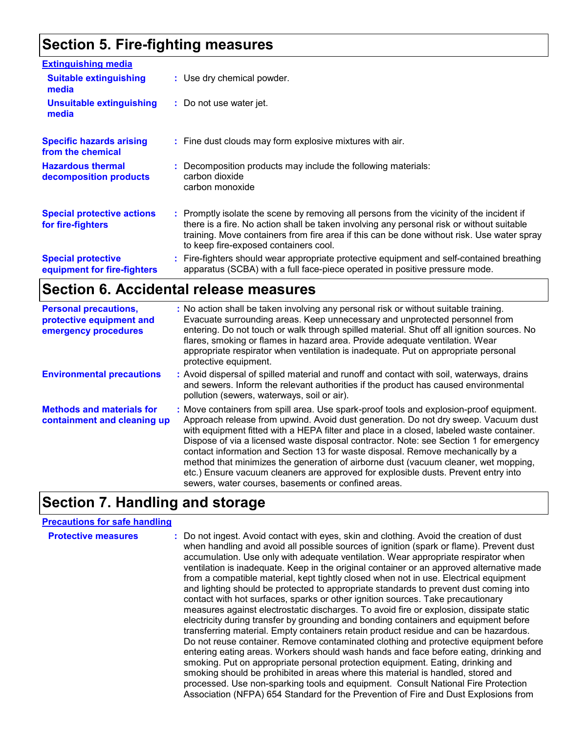### **Section 5. Fire-fighting measures**

| <b>Extinguishing media</b>                               |                                                                                                                                                                                                                                                                                                                             |
|----------------------------------------------------------|-----------------------------------------------------------------------------------------------------------------------------------------------------------------------------------------------------------------------------------------------------------------------------------------------------------------------------|
| <b>Suitable extinguishing</b><br>media                   | : Use dry chemical powder.                                                                                                                                                                                                                                                                                                  |
| <b>Unsuitable extinguishing</b><br>media                 | : Do not use water jet.                                                                                                                                                                                                                                                                                                     |
| <b>Specific hazards arising</b><br>from the chemical     | : Fine dust clouds may form explosive mixtures with air.                                                                                                                                                                                                                                                                    |
| <b>Hazardous thermal</b><br>decomposition products       | : Decomposition products may include the following materials:<br>carbon dioxide<br>carbon monoxide                                                                                                                                                                                                                          |
| <b>Special protective actions</b><br>for fire-fighters   | Promptly isolate the scene by removing all persons from the vicinity of the incident if<br>there is a fire. No action shall be taken involving any personal risk or without suitable<br>training. Move containers from fire area if this can be done without risk. Use water spray<br>to keep fire-exposed containers cool. |
| <b>Special protective</b><br>equipment for fire-fighters | Fire-fighters should wear appropriate protective equipment and self-contained breathing<br>apparatus (SCBA) with a full face-piece operated in positive pressure mode.                                                                                                                                                      |

#### **Section 6. Accidental release measures**

| <b>Personal precautions,</b><br>protective equipment and<br>emergency procedures | : No action shall be taken involving any personal risk or without suitable training.<br>Evacuate surrounding areas. Keep unnecessary and unprotected personnel from<br>entering. Do not touch or walk through spilled material. Shut off all ignition sources. No<br>flares, smoking or flames in hazard area. Provide adequate ventilation. Wear<br>appropriate respirator when ventilation is inadequate. Put on appropriate personal<br>protective equipment.                                                                                                                                                                                                                           |
|----------------------------------------------------------------------------------|--------------------------------------------------------------------------------------------------------------------------------------------------------------------------------------------------------------------------------------------------------------------------------------------------------------------------------------------------------------------------------------------------------------------------------------------------------------------------------------------------------------------------------------------------------------------------------------------------------------------------------------------------------------------------------------------|
| <b>Environmental precautions</b>                                                 | : Avoid dispersal of spilled material and runoff and contact with soil, waterways, drains<br>and sewers. Inform the relevant authorities if the product has caused environmental<br>pollution (sewers, waterways, soil or air).                                                                                                                                                                                                                                                                                                                                                                                                                                                            |
| <b>Methods and materials for</b><br>containment and cleaning up                  | : Move containers from spill area. Use spark-proof tools and explosion-proof equipment.<br>Approach release from upwind. Avoid dust generation. Do not dry sweep. Vacuum dust<br>with equipment fitted with a HEPA filter and place in a closed, labeled waste container.<br>Dispose of via a licensed waste disposal contractor. Note: see Section 1 for emergency<br>contact information and Section 13 for waste disposal. Remove mechanically by a<br>method that minimizes the generation of airborne dust (vacuum cleaner, wet mopping,<br>etc.) Ensure vacuum cleaners are approved for explosible dusts. Prevent entry into<br>sewers, water courses, basements or confined areas. |

### **Section 7. Handling and storage**

#### **Precautions for safe handling**

**Protective measures** : Do not ingest. Avoid contact with eyes, skin and clothing. Avoid the creation of dust when handling and avoid all possible sources of ignition (spark or flame). Prevent dust accumulation. Use only with adequate ventilation. Wear appropriate respirator when ventilation is inadequate. Keep in the original container or an approved alternative made from a compatible material, kept tightly closed when not in use. Electrical equipment and lighting should be protected to appropriate standards to prevent dust coming into contact with hot surfaces, sparks or other ignition sources. Take precautionary measures against electrostatic discharges. To avoid fire or explosion, dissipate static electricity during transfer by grounding and bonding containers and equipment before transferring material. Empty containers retain product residue and can be hazardous. Do not reuse container. Remove contaminated clothing and protective equipment before entering eating areas. Workers should wash hands and face before eating, drinking and smoking. Put on appropriate personal protection equipment. Eating, drinking and smoking should be prohibited in areas where this material is handled, stored and processed. Use non-sparking tools and equipment. Consult National Fire Protection Association (NFPA) 654 Standard for the Prevention of Fire and Dust Explosions from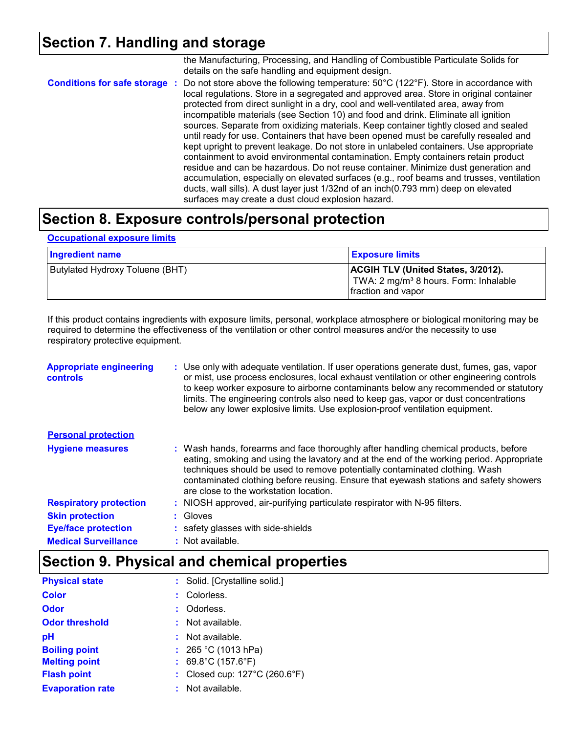### **Section 7. Handling and storage**

|                               | the Manufacturing, Processing, and Handling of Combustible Particulate Solids for<br>details on the safe handling and equipment design.                                                                                                                                                                                                                                                                                                                                                                                                                                                                                                                                                                                                                                                                                                                                                                                                                                                                                                                 |
|-------------------------------|---------------------------------------------------------------------------------------------------------------------------------------------------------------------------------------------------------------------------------------------------------------------------------------------------------------------------------------------------------------------------------------------------------------------------------------------------------------------------------------------------------------------------------------------------------------------------------------------------------------------------------------------------------------------------------------------------------------------------------------------------------------------------------------------------------------------------------------------------------------------------------------------------------------------------------------------------------------------------------------------------------------------------------------------------------|
| Conditions for safe storage : | Do not store above the following temperature: 50°C (122°F). Store in accordance with<br>local regulations. Store in a segregated and approved area. Store in original container<br>protected from direct sunlight in a dry, cool and well-ventilated area, away from<br>incompatible materials (see Section 10) and food and drink. Eliminate all ignition<br>sources. Separate from oxidizing materials. Keep container tightly closed and sealed<br>until ready for use. Containers that have been opened must be carefully resealed and<br>kept upright to prevent leakage. Do not store in unlabeled containers. Use appropriate<br>containment to avoid environmental contamination. Empty containers retain product<br>residue and can be hazardous. Do not reuse container. Minimize dust generation and<br>accumulation, especially on elevated surfaces (e.g., roof beams and trusses, ventilation<br>ducts, wall sills). A dust layer just 1/32nd of an inch(0.793 mm) deep on elevated<br>surfaces may create a dust cloud explosion hazard. |
|                               |                                                                                                                                                                                                                                                                                                                                                                                                                                                                                                                                                                                                                                                                                                                                                                                                                                                                                                                                                                                                                                                         |

#### **Section 8. Exposure controls/personal protection**

#### **Occupational exposure limits**

| <b>Ingredient name</b>          | <b>Exposure limits</b>                                                                                               |
|---------------------------------|----------------------------------------------------------------------------------------------------------------------|
| Butylated Hydroxy Toluene (BHT) | <b>ACGIH TLV (United States, 3/2012).</b><br>TWA: 2 mg/m <sup>3</sup> 8 hours. Form: Inhalable<br>fraction and vapor |

If this product contains ingredients with exposure limits, personal, workplace atmosphere or biological monitoring may be required to determine the effectiveness of the ventilation or other control measures and/or the necessity to use respiratory protective equipment.

| <b>Appropriate engineering</b><br><b>controls</b> | : Use only with adequate ventilation. If user operations generate dust, fumes, gas, vapor<br>or mist, use process enclosures, local exhaust ventilation or other engineering controls<br>to keep worker exposure to airborne contaminants below any recommended or statutory<br>limits. The engineering controls also need to keep gas, vapor or dust concentrations<br>below any lower explosive limits. Use explosion-proof ventilation equipment. |
|---------------------------------------------------|------------------------------------------------------------------------------------------------------------------------------------------------------------------------------------------------------------------------------------------------------------------------------------------------------------------------------------------------------------------------------------------------------------------------------------------------------|
| <b>Personal protection</b>                        |                                                                                                                                                                                                                                                                                                                                                                                                                                                      |
| <b>Hygiene measures</b>                           | : Wash hands, forearms and face thoroughly after handling chemical products, before<br>eating, smoking and using the lavatory and at the end of the working period. Appropriate<br>techniques should be used to remove potentially contaminated clothing. Wash<br>contaminated clothing before reusing. Ensure that eyewash stations and safety showers<br>are close to the workstation location.                                                    |
| <b>Respiratory protection</b>                     | : NIOSH approved, air-purifying particulate respirator with N-95 filters.                                                                                                                                                                                                                                                                                                                                                                            |
| <b>Skin protection</b>                            | $:$ Gloves                                                                                                                                                                                                                                                                                                                                                                                                                                           |
| <b>Eye/face protection</b>                        | : safety glasses with side-shields                                                                                                                                                                                                                                                                                                                                                                                                                   |
| <b>Medical Surveillance</b>                       | : Not available.                                                                                                                                                                                                                                                                                                                                                                                                                                     |

### **Section 9. Physical and chemical properties**

| <b>Physical state</b>   | : Solid. [Crystalline solid.]           |
|-------------------------|-----------------------------------------|
| <b>Color</b>            | : Colorless.                            |
| <b>Odor</b>             | Odorless.                               |
| <b>Odor threshold</b>   | : Not available.                        |
| рH                      | $:$ Not available.                      |
| <b>Boiling point</b>    | : $265 °C (1013 hPa)$                   |
| <b>Melting point</b>    | : $69.8^{\circ}$ C (157.6 $^{\circ}$ F) |
| <b>Flash point</b>      | : Closed cup: 127°C (260.6°F)           |
| <b>Evaporation rate</b> | : Not available.                        |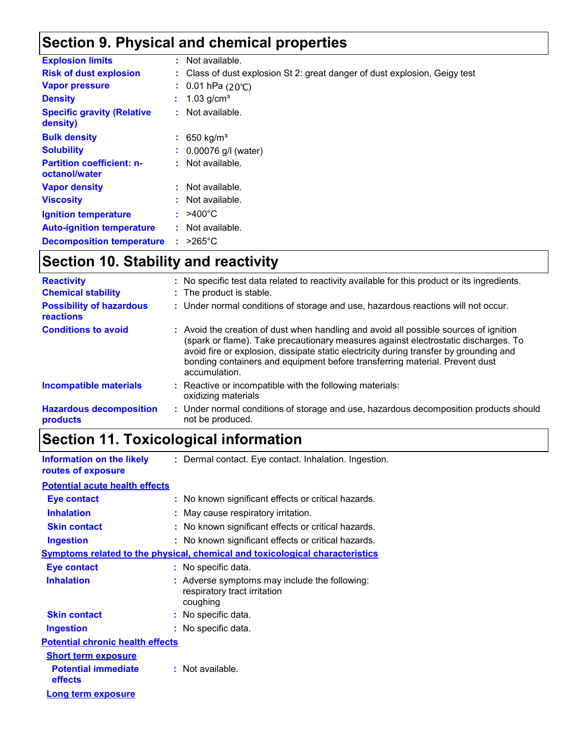### **Section 9. Physical and chemical properties**

| <b>Explosion limits</b>                           | $:$ Not available.                                                         |
|---------------------------------------------------|----------------------------------------------------------------------------|
| <b>Risk of dust explosion</b>                     | : Class of dust explosion St 2: great danger of dust explosion, Geigy test |
| <b>Vapor pressure</b>                             | : $0.01$ hPa (20°C)                                                        |
| <b>Density</b>                                    | 1.03 g/cm <sup>3</sup>                                                     |
| <b>Specific gravity (Relative</b><br>density)     | $:$ Not available.                                                         |
| <b>Bulk density</b>                               | : 650 kg/m <sup>3</sup>                                                    |
| <b>Solubility</b>                                 | $: 0.00076$ g/l (water)                                                    |
| <b>Partition coefficient: n-</b><br>octanol/water | $:$ Not available.                                                         |
| <b>Vapor density</b>                              | $:$ Not available.                                                         |
| <b>Viscosity</b>                                  | : Not available.                                                           |
| <b>Ignition temperature</b>                       | $: 9400^{\circ}$ C                                                         |
| <b>Auto-ignition temperature</b>                  | : Not available.                                                           |
| <b>Decomposition temperature</b>                  | $>265^{\circ}$ C                                                           |

## **Section 10. Stability and reactivity**

| <b>Reactivity</b>                                   | : No specific test data related to reactivity available for this product or its ingredients.                                                                                                                                                                                                                                                                          |
|-----------------------------------------------------|-----------------------------------------------------------------------------------------------------------------------------------------------------------------------------------------------------------------------------------------------------------------------------------------------------------------------------------------------------------------------|
| <b>Chemical stability</b>                           | : The product is stable.                                                                                                                                                                                                                                                                                                                                              |
| <b>Possibility of hazardous</b><br><b>reactions</b> | : Under normal conditions of storage and use, hazardous reactions will not occur.                                                                                                                                                                                                                                                                                     |
| <b>Conditions to avoid</b>                          | : Avoid the creation of dust when handling and avoid all possible sources of ignition<br>(spark or flame). Take precautionary measures against electrostatic discharges. To<br>avoid fire or explosion, dissipate static electricity during transfer by grounding and<br>bonding containers and equipment before transferring material. Prevent dust<br>accumulation. |
| <b>Incompatible materials</b>                       | : Reactive or incompatible with the following materials:<br>oxidizing materials                                                                                                                                                                                                                                                                                       |
| <b>Hazardous decomposition</b><br>products          | : Under normal conditions of storage and use, hazardous decomposition products should<br>not be produced.                                                                                                                                                                                                                                                             |

### **Section 11. Toxicological information**

**Information on the likely routes of exposure :** Dermal contact. Eye contact. Inhalation. Ingestion.

#### **Potential acute health effects**

| <b>Eye contact</b>                      | : No known significant effects or critical hazards.                                       |
|-----------------------------------------|-------------------------------------------------------------------------------------------|
| <b>Inhalation</b>                       | : May cause respiratory irritation.                                                       |
| <b>Skin contact</b>                     | : No known significant effects or critical hazards.                                       |
| <b>Ingestion</b>                        | : No known significant effects or critical hazards.                                       |
|                                         | <b>Symptoms related to the physical, chemical and toxicological characteristics</b>       |
| <b>Eye contact</b>                      | : No specific data.                                                                       |
| <b>Inhalation</b>                       | : Adverse symptoms may include the following:<br>respiratory tract irritation<br>coughing |
| <b>Skin contact</b>                     | : No specific data.                                                                       |
| <b>Ingestion</b>                        | : No specific data.                                                                       |
| <b>Potential chronic health effects</b> |                                                                                           |
| <b>Short term exposure</b>              |                                                                                           |
| <b>Potential immediate</b><br>effects   | : Not available.                                                                          |
| <b>Long term exposure</b>               |                                                                                           |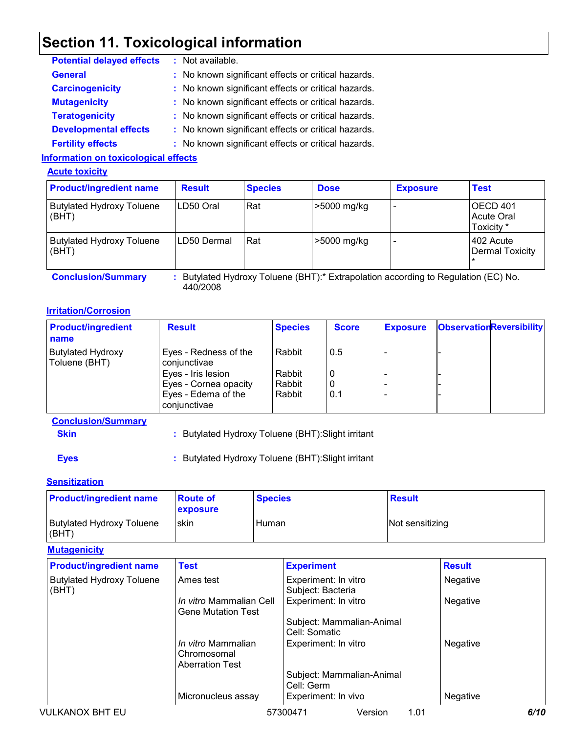### **Section 11. Toxicological information**

| <b>Potential delayed effects</b>   | : Not available.                                    |
|------------------------------------|-----------------------------------------------------|
| <b>General</b>                     | : No known significant effects or critical hazards. |
| <b>Carcinogenicity</b>             | : No known significant effects or critical hazards. |
| <b>Mutagenicity</b>                | : No known significant effects or critical hazards. |
| <b>Teratogenicity</b>              | : No known significant effects or critical hazards. |
| <b>Developmental effects</b>       | : No known significant effects or critical hazards. |
| <b>Fertility effects</b>           | : No known significant effects or critical hazards. |
| dawaatlan an tawisalaniaal affaata |                                                     |

#### **Information on toxicological effects**

#### **Acute toxicity**

| <b>Product/ingredient name</b>            | <b>Result</b> | <b>Species</b> | <b>Dose</b> | <b>Exposure</b> | <b>Test</b>                                 |
|-------------------------------------------|---------------|----------------|-------------|-----------------|---------------------------------------------|
| <b>Butylated Hydroxy Toluene</b><br>(BHT) | LD50 Oral     | Rat            | >5000 mg/kg |                 | OECD 401<br><b>Acute Oral</b><br>Toxicity * |
| <b>Butylated Hydroxy Toluene</b><br>(BHT) | ILD50 Dermal  | <b>Rat</b>     | >5000 mg/kg |                 | 1402 Acute<br><b>Dermal Toxicity</b>        |

**Conclusion/Summary :** Butylated Hydroxy Toluene (BHT):\* Extrapolation according to Regulation (EC) No. 440/2008

#### **Irritation/Corrosion**

| Rabbit<br>0.5 |  |  |
|---------------|--|--|
| Rabbit<br>0   |  |  |
| Rabbit<br>0   |  |  |
| Rabbit<br>0.1 |  |  |
|               |  |  |

**Conclusion/Summary**

**Skin :** Butylated Hydroxy Toluene (BHT):Slight irritant

**Eyes :** Butylated Hydroxy Toluene (BHT):Slight irritant

#### **Sensitization**

| <b>Product/ingredient name</b>            | <b>Route of</b><br>exposure                                        | <b>Species</b><br>Human |                                            |         | <b>Result</b>   |               |      |
|-------------------------------------------|--------------------------------------------------------------------|-------------------------|--------------------------------------------|---------|-----------------|---------------|------|
| <b>Butylated Hydroxy Toluene</b><br>(BHT) | skin                                                               |                         |                                            |         | Not sensitizing |               |      |
| <b>Mutagenicity</b>                       |                                                                    |                         |                                            |         |                 |               |      |
| <b>Product/ingredient name</b>            | <b>Test</b>                                                        |                         | <b>Experiment</b>                          |         |                 | <b>Result</b> |      |
| <b>Butylated Hydroxy Toluene</b><br>(BHT) | Ames test                                                          |                         | Experiment: In vitro<br>Subject: Bacteria  |         |                 | Negative      |      |
|                                           | <i>In vitro</i> Mammalian Cell<br>Gene Mutation Test               |                         | Experiment: In vitro                       |         |                 | Negative      |      |
|                                           |                                                                    |                         | Subject: Mammalian-Animal<br>Cell: Somatic |         |                 |               |      |
|                                           | <i>In vitro</i> Mammalian<br>Chromosomal<br><b>Aberration Test</b> |                         | Experiment: In vitro                       |         |                 | Negative      |      |
|                                           |                                                                    |                         | Subject: Mammalian-Animal<br>Cell: Germ    |         |                 |               |      |
|                                           | Micronucleus assay                                                 |                         | Experiment: In vivo                        |         |                 | Negative      |      |
| <b>VULKANOX BHT EU</b>                    |                                                                    |                         | 57300471                                   | Version | 1.01            |               | 6/10 |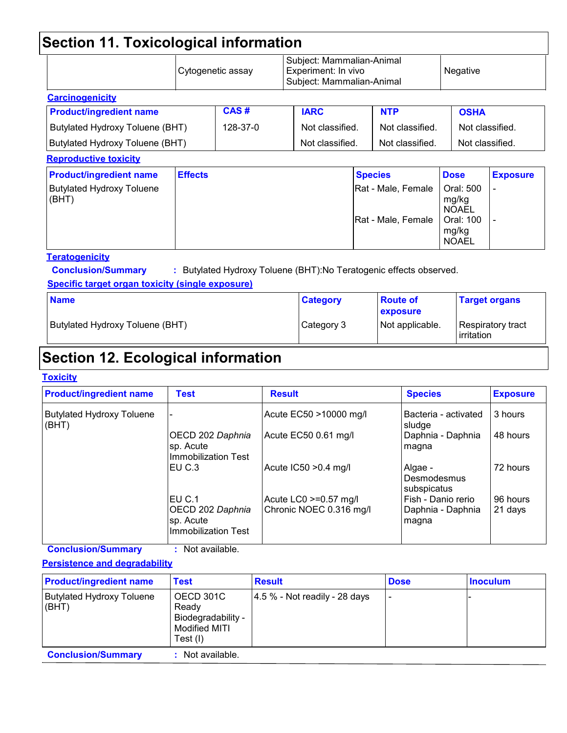# **Section 11. Toxicological information**

|                |                                                                    |                   |  |                                                           | Negative                                                                                                             |                 |
|----------------|--------------------------------------------------------------------|-------------------|--|-----------------------------------------------------------|----------------------------------------------------------------------------------------------------------------------|-----------------|
|                |                                                                    |                   |  |                                                           |                                                                                                                      |                 |
|                | CAS#                                                               | <b>IARC</b>       |  | <b>NTP</b>                                                |                                                                                                                      |                 |
|                | 128-37-0                                                           |                   |  | Not classified.                                           |                                                                                                                      | Not classified. |
|                |                                                                    |                   |  | Not classified.                                           |                                                                                                                      | Not classified. |
|                |                                                                    |                   |  |                                                           |                                                                                                                      |                 |
| <b>Effects</b> |                                                                    |                   |  |                                                           | <b>Dose</b>                                                                                                          | <b>Exposure</b> |
|                |                                                                    |                   |  |                                                           | Oral: 500<br>mg/kg<br><b>NOAEL</b><br>Oral: 100<br>mg/kg<br><b>NOAEL</b>                                             |                 |
|                | Butylated Hydroxy Toluene (BHT)<br>Butylated Hydroxy Toluene (BHT) | Cytogenetic assay |  | Experiment: In vivo<br>Not classified.<br>Not classified. | Subject: Mammalian-Animal<br>Subject: Mammalian-Animal<br><b>Species</b><br>Rat - Male, Female<br>Rat - Male, Female | <b>OSHA</b>     |

**Specific target organ toxicity (single exposure)**

| <b>Name</b>                     | <b>Category</b> | <b>Route of</b><br><b>exposure</b> | <b>Target organs</b>             |
|---------------------------------|-----------------|------------------------------------|----------------------------------|
| Butylated Hydroxy Toluene (BHT) | Category 3      | Not applicable.                    | Respiratory tract<br>lirritation |

### **Section 12. Ecological information**

#### **Toxicity**

| <b>Product/ingredient name</b>            | <b>Test</b>                                                      | <b>Result</b>                                    | <b>Species</b>                                   | <b>Exposure</b>     |
|-------------------------------------------|------------------------------------------------------------------|--------------------------------------------------|--------------------------------------------------|---------------------|
| <b>Butylated Hydroxy Toluene</b><br>(BHT) |                                                                  | Acute EC50 >10000 mg/l                           | Bacteria - activated<br>sludge                   | 3 hours             |
|                                           | OECD 202 Daphnia<br>sp. Acute<br>Immobilization Test             | Acute EC50 0.61 mg/l                             | Daphnia - Daphnia<br>magna                       | 48 hours            |
|                                           | IEU C.3                                                          | Acute IC50 > 0.4 mg/l                            | Algae -<br>Desmodesmus<br>subspicatus            | 72 hours            |
|                                           | IEU C.1<br>OECD 202 Daphnia<br>sp. Acute<br>Ilmmobilization Test | Acute LC0 >=0.57 mg/l<br>Chronic NOEC 0.316 mg/l | Fish - Danio rerio<br>Daphnia - Daphnia<br>magna | 96 hours<br>21 days |

**Conclusion/Summary :** Not available.

#### **Persistence and degradability**

| <b>Product/ingredient name</b>            | <b>Test</b>                                                           | <b>Result</b>                    | <b>Dose</b> | <b>Inoculum</b> |
|-------------------------------------------|-----------------------------------------------------------------------|----------------------------------|-------------|-----------------|
| <b>Butylated Hydroxy Toluene</b><br>(BHT) | OECD 301C<br>Ready<br>Biodegradability -<br>Modified MITI<br>Test (I) | $ 4.5\%$ - Not readily - 28 days |             |                 |
| <b>Conclusion/Summary</b>                 | : Not available.                                                      |                                  |             |                 |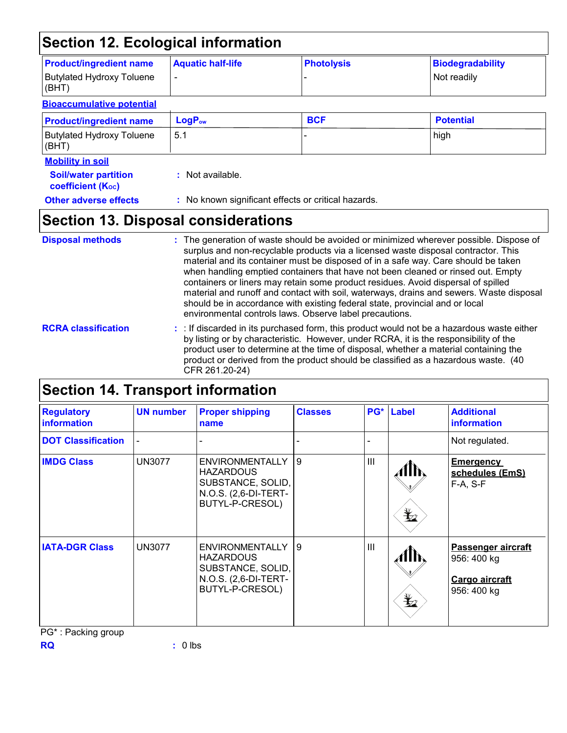### **Section 12. Ecological information**

| <b>Product/ingredient name</b>                          | <b>Aquatic half-life</b> | <b>Photolysis</b>                                   | <b>Biodegradability</b> |
|---------------------------------------------------------|--------------------------|-----------------------------------------------------|-------------------------|
| <b>Butylated Hydroxy Toluene</b><br>(BHT)               | $\overline{\phantom{0}}$ |                                                     | Not readily             |
| <b>Bioaccumulative potential</b>                        |                          |                                                     |                         |
| <b>Product/ingredient name</b>                          | LogP <sub>ow</sub>       | <b>BCF</b>                                          | <b>Potential</b>        |
| <b>Butylated Hydroxy Toluene</b><br>(BHT)               | 5.1                      |                                                     | high                    |
| <b>Mobility in soil</b>                                 |                          |                                                     |                         |
| <b>Soil/water partition</b><br><b>coefficient (Koc)</b> | : Not available.         |                                                     |                         |
| <b>Other adverse effects</b>                            |                          | : No known significant effects or critical hazards. |                         |
| <b>Section 13. Disposal considerations</b>              |                          |                                                     |                         |

#### The generation of waste should be avoided or minimized wherever possible. Dispose of surplus and non-recyclable products via a licensed waste disposal contractor. This material and its container must be disposed of in a safe way. Care should be taken when handling emptied containers that have not been cleaned or rinsed out. Empty containers or liners may retain some product residues. Avoid dispersal of spilled material and runoff and contact with soil, waterways, drains and sewers. Waste disposal should be in accordance with existing federal state, provincial and or local environmental controls laws. Observe label precautions. **Disposal methods : RCRA classification :** : If discarded in its purchased form, this product would not be a hazardous waste either by listing or by characteristic. However, under RCRA, it is the responsibility of the product user to determine at the time of disposal, whether a material containing the product or derived from the product should be classified as a hazardous waste. (40

| <b>Section 14. Transport information</b> |                  |                                                                                                            |                |                |                                                                           |                                                                    |
|------------------------------------------|------------------|------------------------------------------------------------------------------------------------------------|----------------|----------------|---------------------------------------------------------------------------|--------------------------------------------------------------------|
| <b>Regulatory</b><br><b>information</b>  | <b>UN number</b> | <b>Proper shipping</b><br>name                                                                             | <b>Classes</b> | PG*            | Label                                                                     | <b>Additional</b><br><b>information</b>                            |
| <b>DOT Classification</b>                |                  |                                                                                                            |                |                |                                                                           | Not regulated.                                                     |
| <b>IMDG Class</b>                        | <b>UN3077</b>    | <b>ENVIRONMENTALLY</b><br><b>HAZARDOUS</b><br>SUBSTANCE, SOLID,<br>N.O.S. (2,6-DI-TERT-<br>BUTYL-P-CRESOL) | 9              | $\mathbf{III}$ | $\mathbf{\mathbf{\mathbf{\mathbf{\mathbf{\mathbf{\mathbf{\mathbf{Y}}}}}}$ | <b>Emergency</b><br>schedules (EmS)<br>$F-A, S-F$                  |
| <b>IATA-DGR Class</b>                    | <b>UN3077</b>    | <b>ENVIRONMENTALLY</b><br><b>HAZARDOUS</b><br>SUBSTANCE, SOLID,<br>N.O.S. (2,6-DI-TERT-<br>BUTYL-P-CRESOL) | 9              | $\mathbf{III}$ | $\mathbf{\mathbf{\underline{*}}}_{2}$                                     | Passenger aircraft<br>956: 400 kg<br>Cargo aircraft<br>956: 400 kg |

PG\* : Packing group

CFR 261.20-24)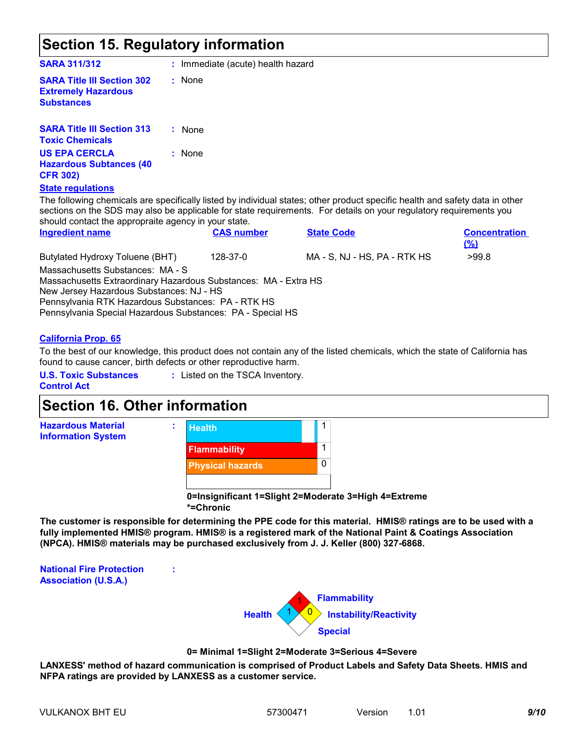### **Section 15. Regulatory information**

| <b>SARA 311/312</b>                                                                                                                                                                                                                                                 | : Immediate (acute) health hazard |                   |                                                                                                                                                                                                                                                    |                                    |
|---------------------------------------------------------------------------------------------------------------------------------------------------------------------------------------------------------------------------------------------------------------------|-----------------------------------|-------------------|----------------------------------------------------------------------------------------------------------------------------------------------------------------------------------------------------------------------------------------------------|------------------------------------|
| <b>SARA Title III Section 302</b><br><b>Extremely Hazardous</b><br><b>Substances</b>                                                                                                                                                                                | : None                            |                   |                                                                                                                                                                                                                                                    |                                    |
| <b>SARA Title III Section 313</b><br><b>Toxic Chemicals</b>                                                                                                                                                                                                         | : None                            |                   |                                                                                                                                                                                                                                                    |                                    |
| <b>US EPA CERCLA</b><br><b>Hazardous Subtances (40</b><br><b>CFR 302)</b>                                                                                                                                                                                           | : None                            |                   |                                                                                                                                                                                                                                                    |                                    |
| <b>State regulations</b>                                                                                                                                                                                                                                            |                                   |                   |                                                                                                                                                                                                                                                    |                                    |
| should contact the appropraite agency in your state.                                                                                                                                                                                                                |                                   |                   | The following chemicals are specifically listed by individual states; other product specific health and safety data in other<br>sections on the SDS may also be applicable for state requirements. For details on your regulatory requirements you |                                    |
| <b>Ingredient name</b>                                                                                                                                                                                                                                              |                                   | <b>CAS number</b> | <b>State Code</b>                                                                                                                                                                                                                                  | <b>Concentration</b><br><u>(%)</u> |
| Butylated Hydroxy Toluene (BHT)                                                                                                                                                                                                                                     |                                   | 128-37-0          | MA - S, NJ - HS, PA - RTK HS                                                                                                                                                                                                                       | >99.8                              |
| Massachusetts Substances: MA - S<br>Massachusetts Extraordinary Hazardous Substances: MA - Extra HS<br>New Jersey Hazardous Substances: NJ - HS<br>Pennsylvania RTK Hazardous Substances: PA - RTK HS<br>Pennsylvania Special Hazardous Substances: PA - Special HS |                                   |                   |                                                                                                                                                                                                                                                    |                                    |

#### **California Prop. 65**

To the best of our knowledge, this product does not contain any of the listed chemicals, which the state of California has found to cause cancer, birth defects or other reproductive harm.

**U.S. Toxic Substances** 

**:** Listed on the TSCA Inventory.

**Control Act**

# **Section 16. Other information**



**:**

**0=Insignificant 1=Slight 2=Moderate 3=High 4=Extreme \*=Chronic**

**The customer is responsible for determining the PPE code for this material. HMIS® ratings are to be used with a fully implemented HMIS® program. HMIS® is a registered mark of the National Paint & Coatings Association (NPCA). HMIS® materials may be purchased exclusively from J. J. Keller (800) 327-6868.**

**National Fire Protection Association (U.S.A.)**



#### **0= Minimal 1=Slight 2=Moderate 3=Serious 4=Severe**

**LANXESS' method of hazard communication is comprised of Product Labels and Safety Data Sheets. HMIS and NFPA ratings are provided by LANXESS as a customer service.**